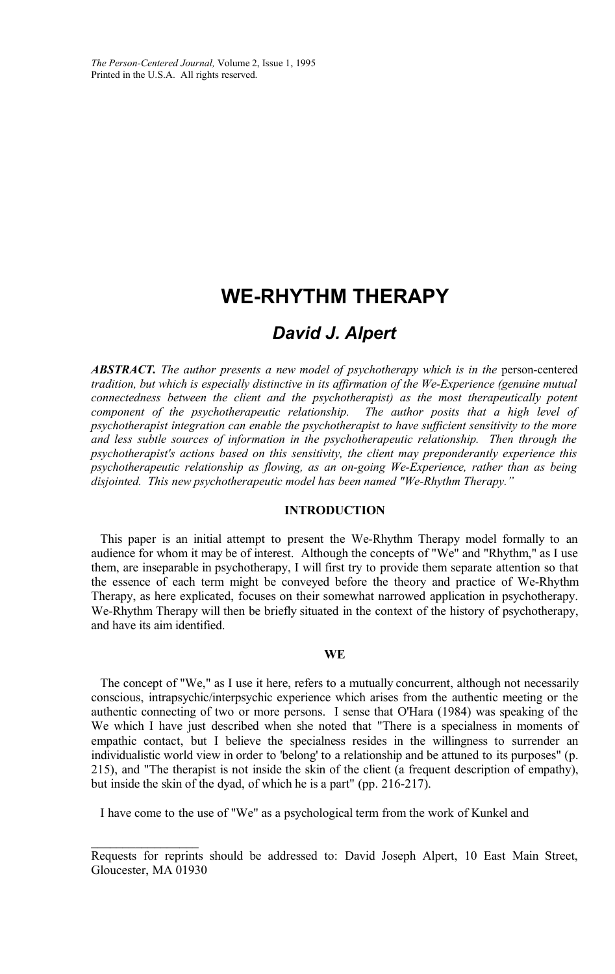*The Person-Centered Journal,* Volume 2, Issue 1, 1995 Printed in the U.S.A. All rights reserved.

# **WE-RHYTHM THERAPY**

# *David J. Alpert*

*ABSTRACT. The author presents a new model of psychotherapy which is in the* person-centered *tradition, but which is especially distinctive in its affirmation of the We-Experience (genuine mutual connectedness between the client and the psychotherapist) as the most therapeutically potent component of the psychotherapeutic relationship. psychotherapist integration can enable the psychotherapist to have sufficient sensitivity to the more and less subtle sources of information in the psychotherapeutic relationship. Then through the psychotherapist's actions based on this sensitivity, the client may preponderantly experience this psychotherapeutic relationship as flowing, as an on-going We-Experience, rather than as being disjointed. This new psychotherapeutic model has been named "We-Rhythm Therapy."*

## **INTRODUCTION**

This paper is an initial attempt to present the We-Rhythm Therapy model formally to an audience for whom it may be of interest. Although the concepts of "We" and "Rhythm," as I use them, are inseparable in psychotherapy, I will first try to provide them separate attention so that the essence of each term might be conveyed before the theory and practice of We-Rhythm Therapy, as here explicated, focuses on their somewhat narrowed application in psychotherapy. We-Rhythm Therapy will then be briefly situated in the context of the history of psychotherapy, and have its aim identified.

#### **WE**

The concept of "We," as I use it here, refers to a mutually concurrent, although not necessarily conscious, intrapsychic/interpsychic experience which arises from the authentic meeting or the authentic connecting of two or more persons. I sense that O'Hara (1984) was speaking of the We which I have just described when she noted that "There is a specialness in moments of empathic contact, but I believe the specialness resides in the willingness to surrender an individualistic world view in order to 'belong' to a relationship and be attuned to its purposes" (p. 215), and "The therapist is not inside the skin of the client (a frequent description of empathy), but inside the skin of the dyad, of which he is a part" (pp. 216-217).

I have come to the use of "We" as a psychological term from the work of Kunkel and

Requests for reprints should be addressed to: David Joseph Alpert, 10 East Main Street, Gloucester, MA 01930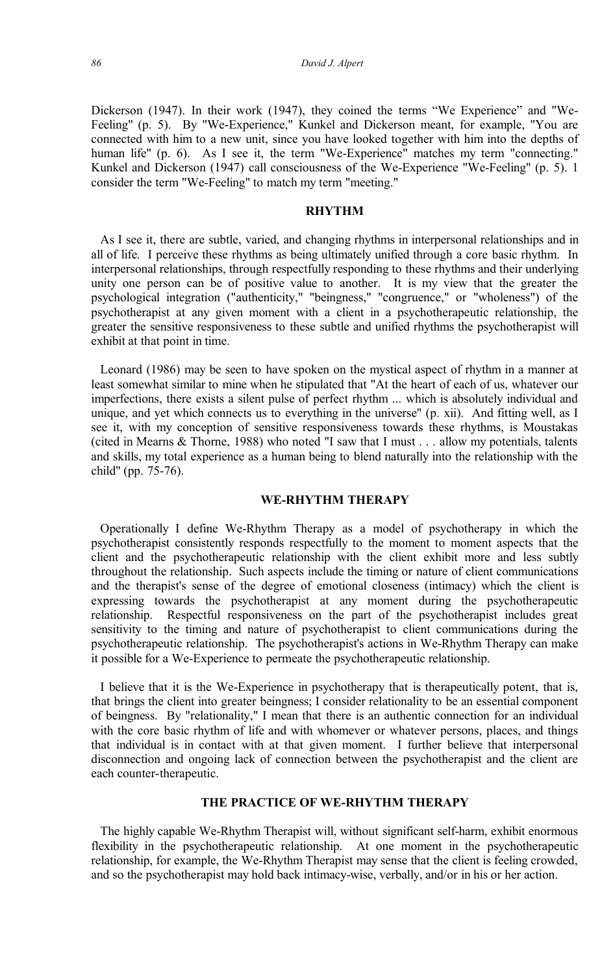Dickerson (1947). In their work (1947), they coined the terms "We Experience" and "We-Feeling" (p. 5). By "We-Experience," Kunkel and Dickerson meant, for example, "You are connected with him to a new unit, since you have looked together with him into the depths of human life" (p. 6). As I see it, the term "We-Experience" matches my term "connecting." Kunkel and Dickerson (1947) call consciousness of the We-Experience "We-Feeling" (p. 5). 1 consider the term "We-Feeling" to match my term "meeting."

#### **RHYTHM**

As I see it, there are subtle, varied, and changing rhythms in interpersonal relationships and in all of life. I perceive these rhythms as being ultimately unified through a core basic rhythm. In interpersonal relationships, through respectfully responding to these rhythms and their underlying unity one person can be of positive value to another. It is my view that the greater the psychological integration ("authenticity," "beingness," "congruence," or "wholeness") of the psychotherapist at any given moment with a client in a psychotherapeutic relationship, the greater the sensitive responsiveness to these subtle and unified rhythms the psychotherapist will exhibit at that point in time.

Leonard (1986) may be seen to have spoken on the mystical aspect of rhythm in a manner at least somewhat similar to mine when he stipulated that "At the heart of each of us, whatever our imperfections, there exists a silent pulse of perfect rhythm ... which is absolutely individual and unique, and yet which connects us to everything in the universe" (p. xii). And fitting well, as I see it, with my conception of sensitive responsiveness towards these rhythms, is Moustakas (cited in Mearns & Thorne, 1988) who noted "I saw that I must . . . allow my potentials, talents and skills, my total experience as a human being to blend naturally into the relationship with the child" (pp. 75-76).

#### **WE-RHYTHM THERAPY**

Operationally I define We-Rhythm Therapy as a model of psychotherapy in which the psychotherapist consistently responds respectfully to the moment to moment aspects that the client and the psychotherapeutic relationship with the client exhibit more and less subtly throughout the relationship. Such aspects include the timing or nature of client communications and the therapist's sense of the degree of emotional closeness (intimacy) which the client is expressing towards the psychotherapist at any moment during the psychotherapeutic relationship. Respectful responsiveness on the part of the psychotherapist includes great sensitivity to the timing and nature of psychotherapist to client communications during the psychotherapeutic relationship. The psychotherapist's actions in We-Rhythm Therapy can make it possible for a We-Experience to permeate the psychotherapeutic relationship.

I believe that it is the We-Experience in psychotherapy that is therapeutically potent, that is, that brings the client into greater beingness; I consider relationality to be an essential component of beingness. By "relationality," I mean that there is an authentic connection for an individual with the core basic rhythm of life and with whomever or whatever persons, places, and things that individual is in contact with at that given moment. I further believe that interpersonal disconnection and ongoing lack of connection between the psychotherapist and the client are each counter-therapeutic.

#### **THE PRACTICE OF WE-RHYTHM THERAPY**

The highly capable We-Rhythm Therapist will, without significant self-harm, exhibit enormous flexibility in the psychotherapeutic relationship. At one moment in the psychotherapeutic relationship, for example, the We-Rhythm Therapist may sense that the client is feeling crowded, and so the psychotherapist may hold back intimacy-wise, verbally, and/or in his or her action.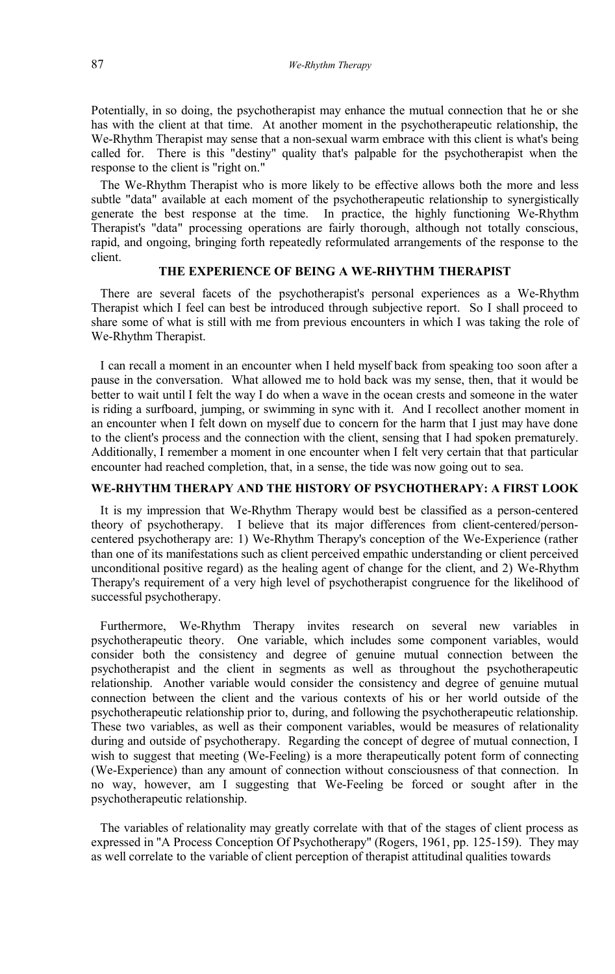Potentially, in so doing, the psychotherapist may enhance the mutual connection that he or she has with the client at that time. At another moment in the psychotherapeutic relationship, the We-Rhythm Therapist may sense that a non-sexual warm embrace with this client is what's being called for. There is this "destiny" quality that's palpable for the psychotherapist when the response to the client is "right on."

The We-Rhythm Therapist who is more likely to be effective allows both the more and less subtle "data" available at each moment of the psychotherapeutic relationship to synergistically generate the best response at the time. In practice, the highly functioning We-Rhythm Therapist's "data" processing operations are fairly thorough, although not totally conscious, rapid, and ongoing, bringing forth repeatedly reformulated arrangements of the response to the client.

# **THE EXPERIENCE OF BEING A WE-RHYTHM THERAPIST**

There are several facets of the psychotherapist's personal experiences as a We-Rhythm Therapist which I feel can best be introduced through subjective report. So I shall proceed to share some of what is still with me from previous encounters in which I was taking the role of We-Rhythm Therapist.

I can recall a moment in an encounter when I held myself back from speaking too soon after a pause in the conversation. What allowed me to hold back was my sense, then, that it would be better to wait until I felt the way I do when a wave in the ocean crests and someone in the water is riding a surfboard, jumping, or swimming in sync with it. And I recollect another moment in an encounter when I felt down on myself due to concern for the harm that I just may have done to the client's process and the connection with the client, sensing that I had spoken prematurely. Additionally, I remember a moment in one encounter when I felt very certain that that particular encounter had reached completion, that, in a sense, the tide was now going out to sea.

## **WE-RHYTHM THERAPY AND THE HISTORY OF PSYCHOTHERAPY: A FIRST LOOK**

It is my impression that We-Rhythm Therapy would best be classified as a person-centered theory of psychotherapy. I believe that its major differences from client-centered/personcentered psychotherapy are: 1) We-Rhythm Therapy's conception of the We-Experience (rather than one of its manifestations such as client perceived empathic understanding or client perceived unconditional positive regard) as the healing agent of change for the client, and 2) We-Rhythm Therapy's requirement of a very high level of psychotherapist congruence for the likelihood of successful psychotherapy.

Furthermore, We-Rhythm Therapy invites research on several new variables in psychotherapeutic theory. One variable, which includes some component variables, would consider both the consistency and degree of genuine mutual connection between the psychotherapist and the client in segments as well as throughout the psychotherapeutic relationship. Another variable would consider the consistency and degree of genuine mutual connection between the client and the various contexts of his or her world outside of the psychotherapeutic relationship prior to, during, and following the psychotherapeutic relationship. These two variables, as well as their component variables, would be measures of relationality during and outside of psychotherapy. Regarding the concept of degree of mutual connection, I wish to suggest that meeting (We-Feeling) is a more therapeutically potent form of connecting (We-Experience) than any amount of connection without consciousness of that connection. In no way, however, am I suggesting that We-Feeling be forced or sought after in the psychotherapeutic relationship.

The variables of relationality may greatly correlate with that of the stages of client process as expressed in "A Process Conception Of Psychotherapy" (Rogers, 1961, pp. 125-159). They may as well correlate to the variable of client perception of therapist attitudinal qualities towards